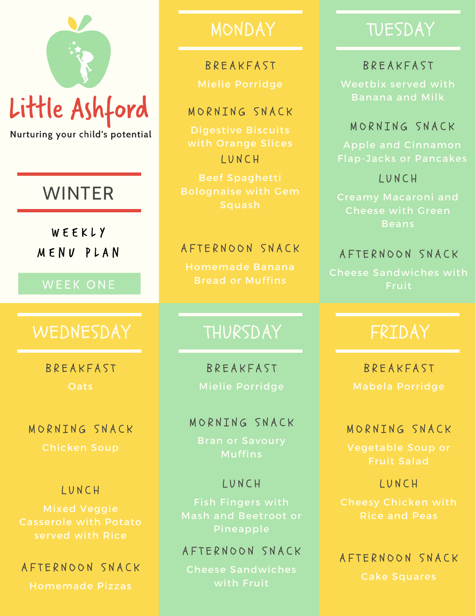# Little Ashford

Nurturing your child's potential

# WINTER

W E E K L Y M E N U P L A N

#### WEEK ONE

## WEDNESDAY | THURSDAY | FRIDAY

**R R F A K F A S T Oats** 

MORNTNG SNACK

#### L U N C H

Casserole with Potato served with Rice

#### A F T E R N O O N S N A C K

Homemade Pizzas

# **BREAKFAST**

#### MORNING SNACK

Digestive Biscuits L U N C H

Beef Spaghetti

#### A F T E R N O O N S N A C K

Homemade Banana Bread or Muffins

**BREAKFAST** Mielie Porridge

#### MORNING SNACK

Bran or Savoury

#### L U N C H

Fish Fingers with

#### A F T E R N O O N S N A C K

Cheese Sandwiches

# MONDAY TUESDAY

#### **BREAKFAST**

Weetbix served with Banana and Milk

#### MORNTNG SNACK

L U N C H

Beans

#### A F T E R N O O N S N A C K

Cheese Sandwiches with Fruit

**BREAKFAST** 

#### MORNTNG SNACK

#### L U N C H

Rice and Peas

A F T E R N O O N S N A C K